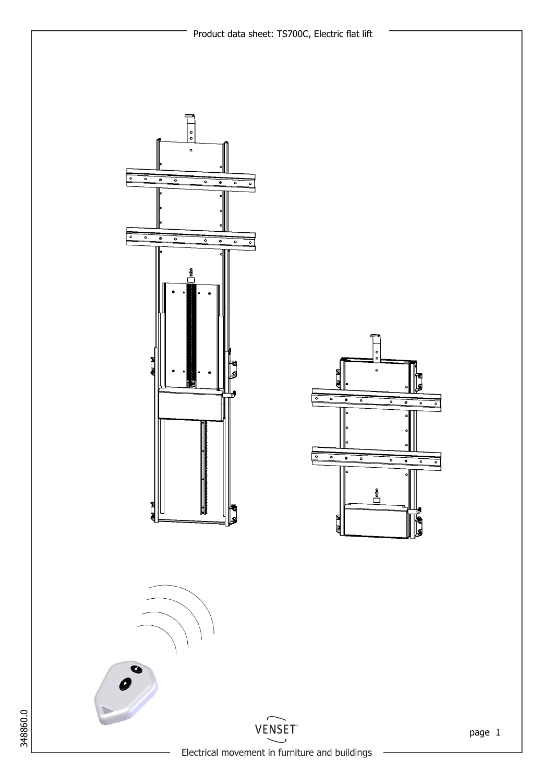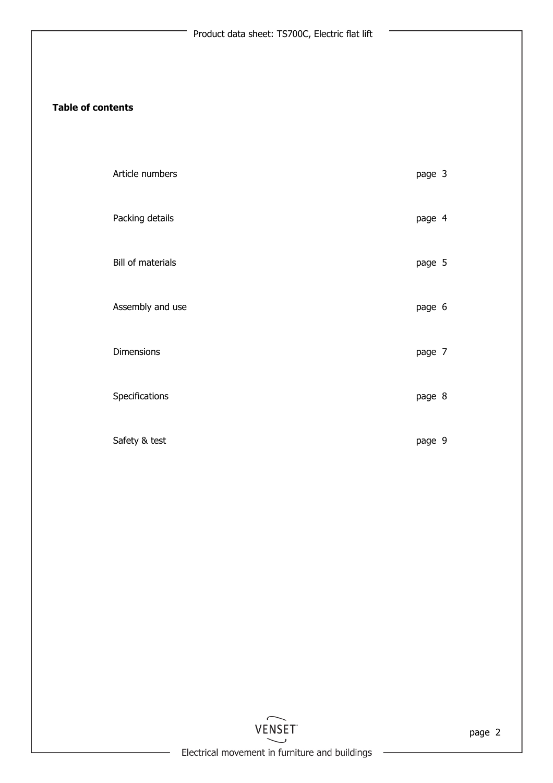### Table of contents

| Article numbers   | page 3 |  |
|-------------------|--------|--|
| Packing details   | page 4 |  |
| Bill of materials | page 5 |  |
| Assembly and use  | page 6 |  |
| Dimensions        | page 7 |  |
| Specifications    | page 8 |  |
| Safety & test     | page 9 |  |

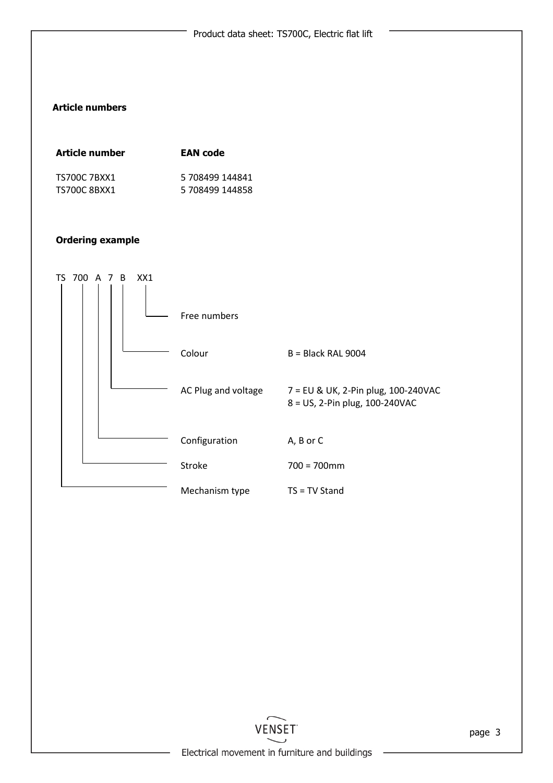## Article numbers

| Article number | <b>EAN</b> code |
|----------------|-----------------|
| TS700C 7BXX1   | 5 708499 144841 |
| TS700C 8BXX1   | 5 708499 144858 |

### Ordering example



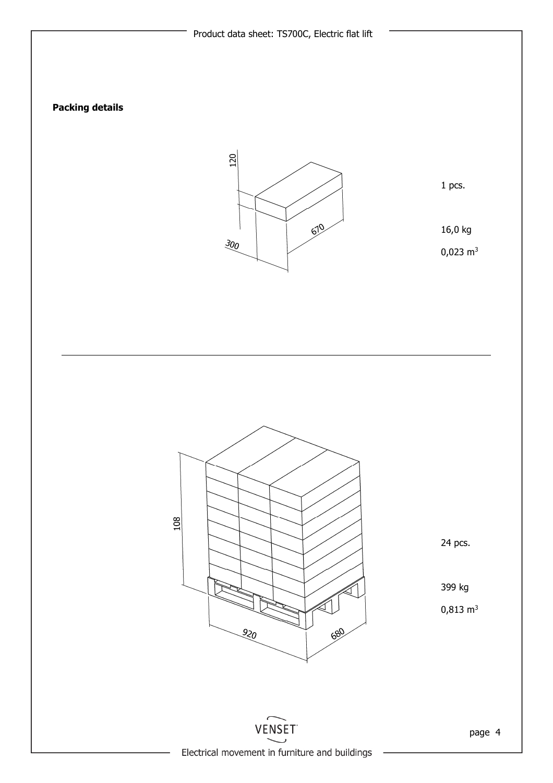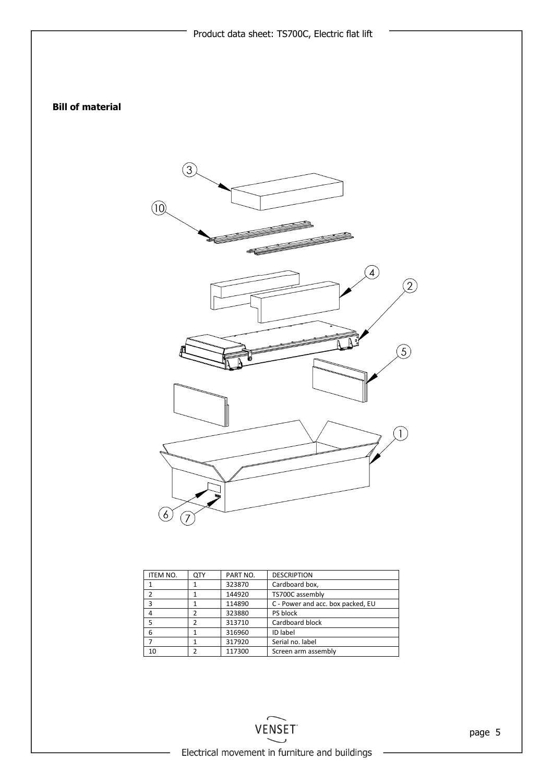

|    | 323870 | Cardboard box,                    |
|----|--------|-----------------------------------|
|    | 144920 | TS700C assembly                   |
|    | 114890 | C - Power and acc. box packed, EU |
|    | 323880 | PS block                          |
|    | 313710 | Cardboard block                   |
|    | 316960 | ID label                          |
|    | 317920 | Serial no. label                  |
| 10 | 117300 | Screen arm assembly               |
|    |        |                                   |

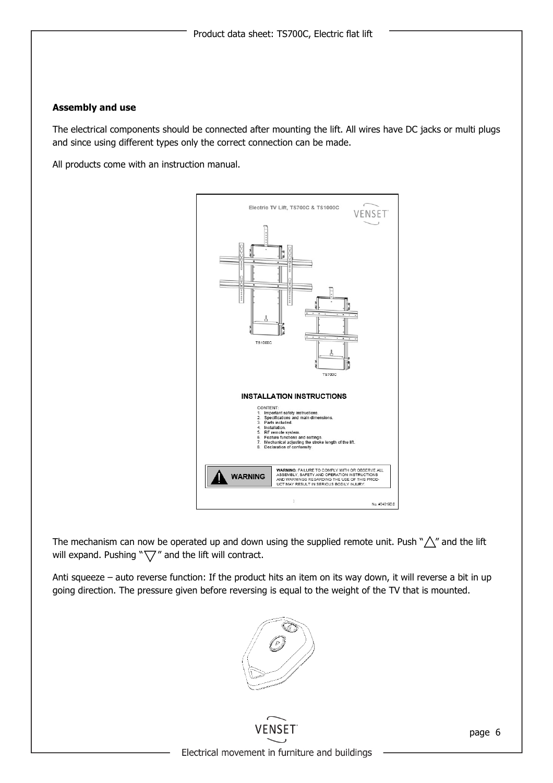#### Assembly and use

The electrical components should be connected after mounting the lift. All wires have DC jacks or multi plugs and since using different types only the correct connection can be made.

All products come with an instruction manual.



The mechanism can now be operated up and down using the supplied remote unit. Push " $\triangle$ " and the lift will expand. Pushing " $\sqrt{7}$ " and the lift will contract.

Anti squeeze – auto reverse function: If the product hits an item on its way down, it will reverse a bit in up going direction. The pressure given before reversing is equal to the weight of the TV that is mounted.





page 6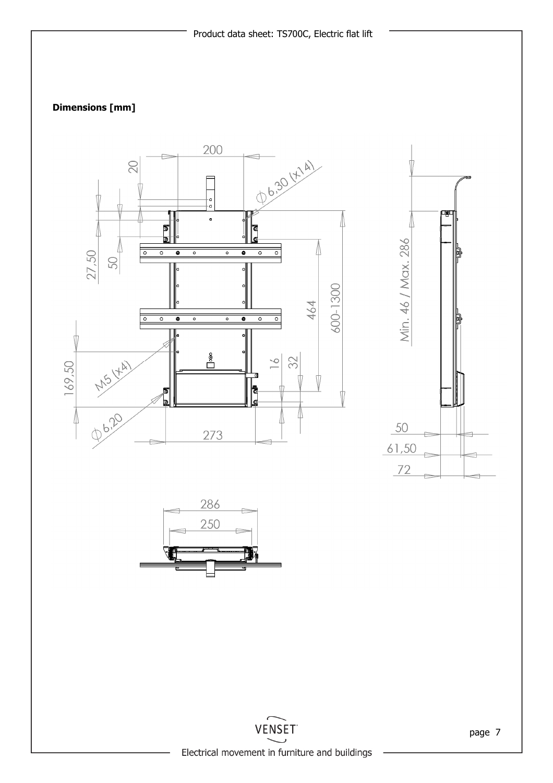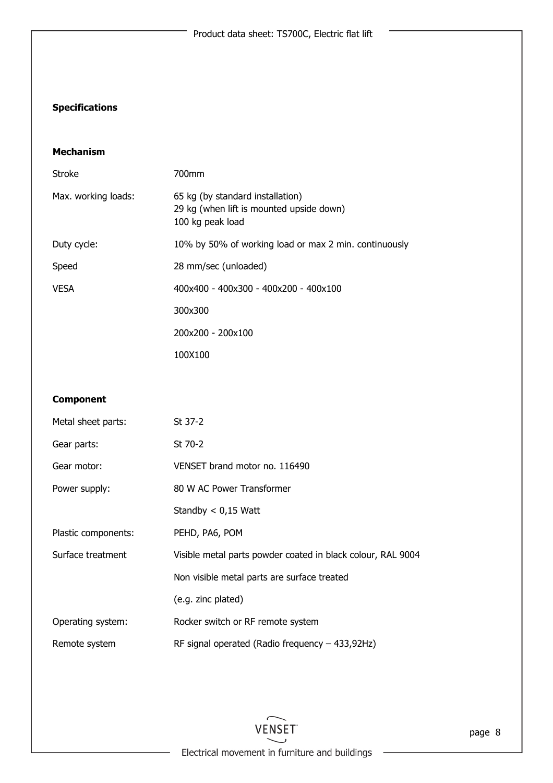# **Specifications**

### Mechanism

| Stroke              | 700mm                                                                                            |
|---------------------|--------------------------------------------------------------------------------------------------|
| Max. working loads: | 65 kg (by standard installation)<br>29 kg (when lift is mounted upside down)<br>100 kg peak load |
| Duty cycle:         | 10% by 50% of working load or max 2 min. continuously                                            |
| Speed               | 28 mm/sec (unloaded)                                                                             |
| <b>VESA</b>         | $400x400 - 400x300 - 400x200 - 400x100$                                                          |
|                     | 300x300                                                                                          |
|                     | 200x200 - 200x100                                                                                |
|                     | 100X100                                                                                          |

# Component

| Metal sheet parts:  | St 37-2                                                     |
|---------------------|-------------------------------------------------------------|
| Gear parts:         | St 70-2                                                     |
| Gear motor:         | VENSET brand motor no. 116490                               |
| Power supply:       | 80 W AC Power Transformer                                   |
|                     | Standby $< 0.15$ Watt                                       |
| Plastic components: | PEHD, PA6, POM                                              |
| Surface treatment   | Visible metal parts powder coated in black colour, RAL 9004 |
|                     | Non visible metal parts are surface treated                 |
|                     | (e.g. zinc plated)                                          |
| Operating system:   | Rocker switch or RF remote system                           |
| Remote system       | RF signal operated (Radio frequency $-$ 433,92Hz)           |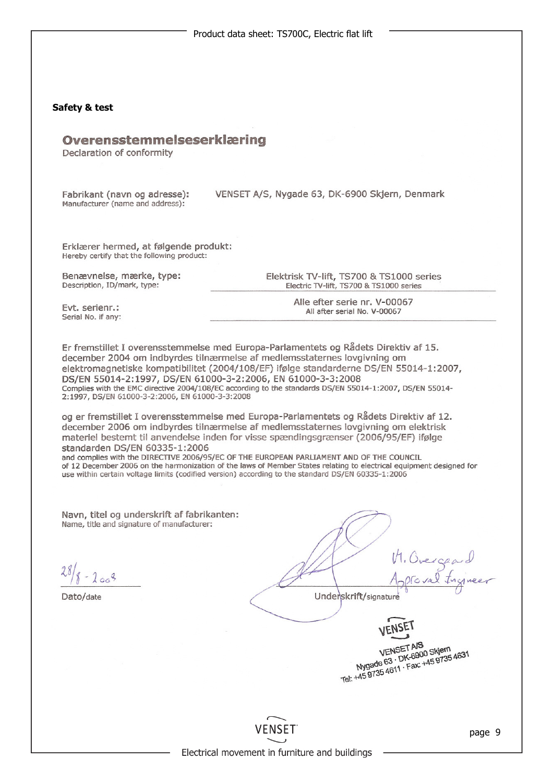

VENSET AIS

VENSET AS<br>Nygade 63 · DK-6900 Skjem<br>Nygade 63 · DK-6902 · 445 9735 VENSET APS<br>Nygade 63 · DK-6900 Skjem<br>Nygade 63 · DK-6900 Skjem<br>Tel: +45 9735 4611 · Fax: +45 9735



Electrical movement in furniture and buildings